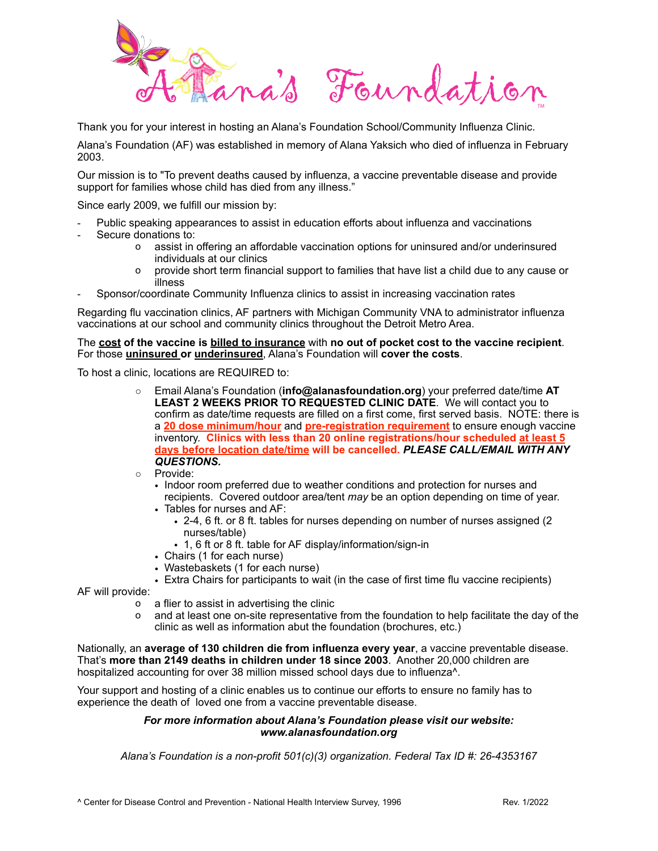

Thank you for your interest in hosting an Alana's Foundation School/Community Influenza Clinic.

Alana's Foundation (AF) was established in memory of Alana Yaksich who died of influenza in February 2003.

Our mission is to "To prevent deaths caused by influenza, a vaccine preventable disease and provide support for families whose child has died from any illness."

Since early 2009, we fulfill our mission by:

- Public speaking appearances to assist in education efforts about influenza and vaccinations
- Secure donations to:
	- o assist in offering an affordable vaccination options for uninsured and/or underinsured individuals at our clinics
	- o provide short term financial support to families that have list a child due to any cause or illness
- Sponsor/coordinate Community Influenza clinics to assist in increasing vaccination rates

Regarding flu vaccination clinics, AF partners with Michigan Community VNA to administrator influenza vaccinations at our school and community clinics throughout the Detroit Metro Area.

The **cost of the vaccine is billed to insurance** with **no out of pocket cost to the vaccine recipient**. For those **uninsured or underinsured**, Alana's Foundation will **cover the costs**.

To host a clinic, locations are REQUIRED to:

- o Email Alana's Foundation (**[info@alanasfoundation.org](mailto:info@alanasfoundation.org)**) your preferred date/time **AT LEAST 2 WEEKS PRIOR TO REQUESTED CLINIC DATE**. We will contact you to confirm as date/time requests are filled on a first come, first served basis. NOTE: there is a **20 dose minimum/hour** and **pre-registration requirement** to ensure enough vaccine inventory. **Clinics with less than 20 online registrations/hour scheduled at least 5 days before location date/time will be cancelled.** *PLEASE CALL/EMAIL WITH ANY QUESTIONS.*
- o Provide:
	- Indoor room preferred due to weather conditions and protection for nurses and recipients. Covered outdoor area/tent *may* be an option depending on time of year.
	- Tables for nurses and AF:
		- 2-4, 6 ft. or 8 ft. tables for nurses depending on number of nurses assigned (2 nurses/table)
		- 1, 6 ft or 8 ft. table for AF display/information/sign-in
	- Chairs (1 for each nurse)
	- Wastebaskets (1 for each nurse)
	- Extra Chairs for participants to wait (in the case of first time flu vaccine recipients)

AF will provide:

- o a flier to assist in advertising the clinic
- o and at least one on-site representative from the foundation to help facilitate the day of the clinic as well as information abut the foundation (brochures, etc.)

Nationally, an **average of 130 children die from influenza every year**, a vaccine preventable disease. That's **more than 2149 deaths in children under 18 since 2003**. Another 20,000 children are hospitalized accounting for over 38 million missed school days due to influenza<sup>^</sup>.

Your support and hosting of a clinic enables us to continue our efforts to ensure no family has to experience the death of loved one from a vaccine preventable disease.

## *For more information about Alana's Foundation please visit our website: [www.alanasfoundation.org](http://www.alanasfoundation.org)*

*Alana's Foundation is a non-profit 501(c)(3) organization. Federal Tax ID #: 26-4353167*